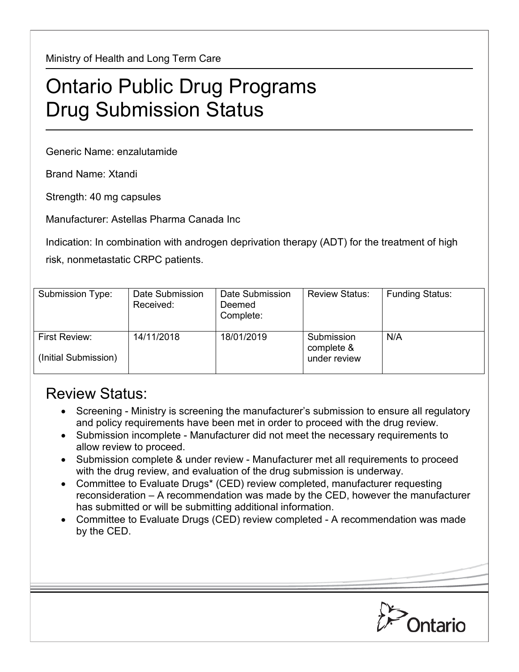Ministry of Health and Long Term Care

## Ontario Public Drug Programs Drug Submission Status

Generic Name: enzalutamide

Brand Name: Xtandi

Strength: 40 mg capsules

Manufacturer: Astellas Pharma Canada Inc

Indication: In combination with androgen deprivation therapy (ADT) for the treatment of high risk, nonmetastatic CRPC patients.

| Submission Type:                      | Date Submission<br>Received: | Date Submission<br>Deemed<br>Complete: | <b>Review Status:</b>                    | <b>Funding Status:</b> |
|---------------------------------------|------------------------------|----------------------------------------|------------------------------------------|------------------------|
| First Review:<br>(Initial Submission) | 14/11/2018                   | 18/01/2019                             | Submission<br>complete &<br>under review | N/A                    |

## Review Status:

- Screening Ministry is screening the manufacturer's submission to ensure all regulatory and policy requirements have been met in order to proceed with the drug review.
- Submission incomplete Manufacturer did not meet the necessary requirements to allow review to proceed.
- Submission complete & under review Manufacturer met all requirements to proceed with the drug review, and evaluation of the drug submission is underway.
- Committee to Evaluate Drugs\* (CED) review completed, manufacturer requesting reconsideration – A recommendation was made by the CED, however the manufacturer has submitted or will be submitting additional information.
- Committee to Evaluate Drugs (CED) review completed A recommendation was made by the CED.